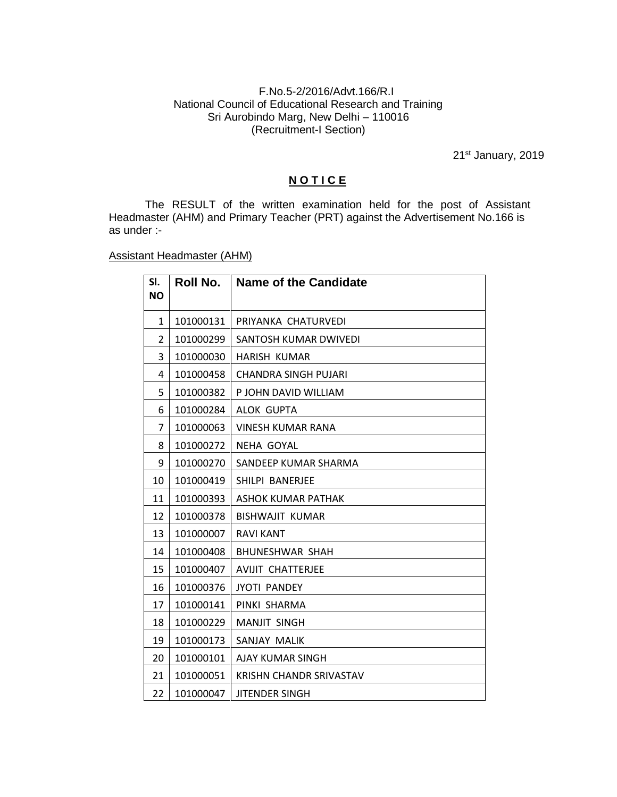## F.No.5-2/2016/Advt.166/R.I National Council of Educational Research and Training Sri Aurobindo Marg, New Delhi – 110016 (Recruitment-I Section)

21<sup>st</sup> January, 2019

## **N O T I C E**

The RESULT of the written examination held for the post of Assistant Headmaster (AHM) and Primary Teacher (PRT) against the Advertisement No.166 is as under :-

## Assistant Headmaster (AHM)

| SI.<br><b>NO</b> | Roll No.  | <b>Name of the Candidate</b> |
|------------------|-----------|------------------------------|
| 1                | 101000131 | PRIYANKA CHATURVEDI          |
| 2                | 101000299 | SANTOSH KUMAR DWIVEDI        |
| 3                | 101000030 | <b>HARISH KUMAR</b>          |
| 4                | 101000458 | CHANDRA SINGH PUJARI         |
| 5                | 101000382 | P JOHN DAVID WILLIAM         |
| 6                | 101000284 | ALOK GUPTA                   |
| 7                | 101000063 | <b>VINESH KUMAR RANA</b>     |
| 8                | 101000272 | NEHA GOYAL                   |
| 9                | 101000270 | SANDEEP KUMAR SHARMA         |
| 10               | 101000419 | SHILPI BANERJEE              |
| 11               | 101000393 | ASHOK KUMAR PATHAK           |
| 12               | 101000378 | <b>BISHWAJIT KUMAR</b>       |
| 13               | 101000007 | <b>RAVI KANT</b>             |
| 14               | 101000408 | <b>BHUNESHWAR SHAH</b>       |
| 15               | 101000407 | <b>AVIJIT CHATTERJEE</b>     |
| 16               | 101000376 | <b>JYOTI PANDEY</b>          |
| 17               | 101000141 | PINKI SHARMA                 |
| 18               | 101000229 | <b>MANJIT SINGH</b>          |
| 19               | 101000173 | SANJAY MALIK                 |
| 20               | 101000101 | AJAY KUMAR SINGH             |
| 21               | 101000051 | KRISHN CHANDR SRIVASTAV      |
| 22               | 101000047 | <b>JITENDER SINGH</b>        |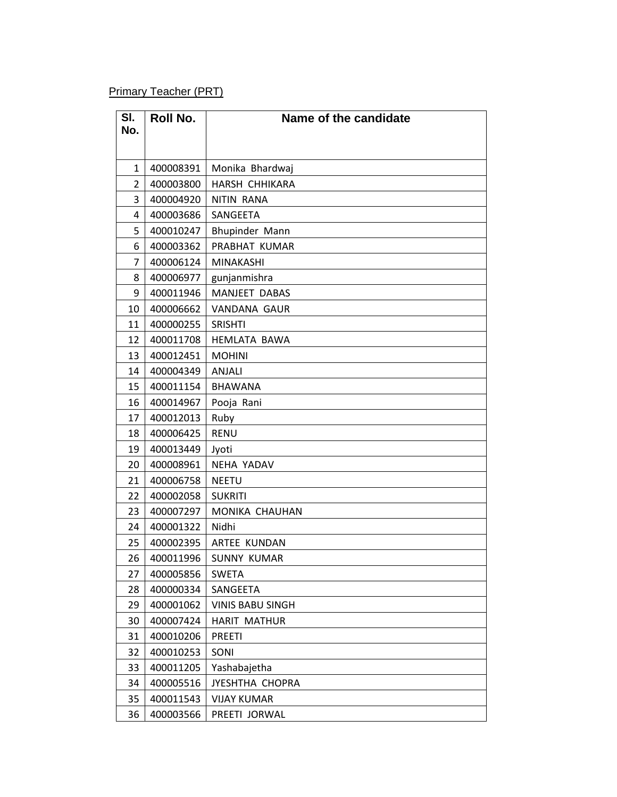Primary Teacher (PRT)

| SI.            | <b>Roll No.</b> | Name of the candidate   |
|----------------|-----------------|-------------------------|
| No.            |                 |                         |
|                |                 |                         |
| $\mathbf{1}$   | 400008391       | Monika Bhardwaj         |
| $\overline{2}$ | 400003800       | HARSH CHHIKARA          |
| 3              | 400004920       | NITIN RANA              |
| 4              | 400003686       | SANGEETA                |
| 5              | 400010247       | Bhupinder Mann          |
| 6              | 400003362       | PRABHAT KUMAR           |
| $\overline{7}$ | 400006124       | MINAKASHI               |
| 8              | 400006977       | gunjanmishra            |
| 9              | 400011946       | MANJEET DABAS           |
| 10             | 400006662       | <b>VANDANA GAUR</b>     |
| 11             | 400000255       | <b>SRISHTI</b>          |
| 12             | 400011708       | <b>HEMLATA BAWA</b>     |
| 13             | 400012451       | <b>MOHINI</b>           |
| 14             | 400004349       | <b>ANJALI</b>           |
| 15             | 400011154       | <b>BHAWANA</b>          |
| 16             | 400014967       | Pooja Rani              |
| 17             | 400012013       | Ruby                    |
| 18             | 400006425       | <b>RENU</b>             |
| 19             | 400013449       | Jyoti                   |
| 20             | 400008961       | NEHA YADAV              |
| 21             | 400006758       | <b>NEETU</b>            |
| 22             | 400002058       | <b>SUKRITI</b>          |
| 23             | 400007297       | MONIKA CHAUHAN          |
| 24             | 400001322       | Nidhi                   |
| 25             | 400002395       | ARTEE KUNDAN            |
| 26             | 400011996       | <b>SUNNY KUMAR</b>      |
| 27             | 400005856       | <b>SWETA</b>            |
| 28             | 400000334       | SANGEETA                |
| 29             | 400001062       | <b>VINIS BABU SINGH</b> |
| 30             | 400007424       | <b>HARIT MATHUR</b>     |
| 31             | 400010206       | <b>PREETI</b>           |
| 32             | 400010253       | SONI                    |
| 33             | 400011205       | Yashabajetha            |
| 34             | 400005516       | JYESHTHA CHOPRA         |
| 35             | 400011543       | <b>VIJAY KUMAR</b>      |
| 36             | 400003566       | PREETI JORWAL           |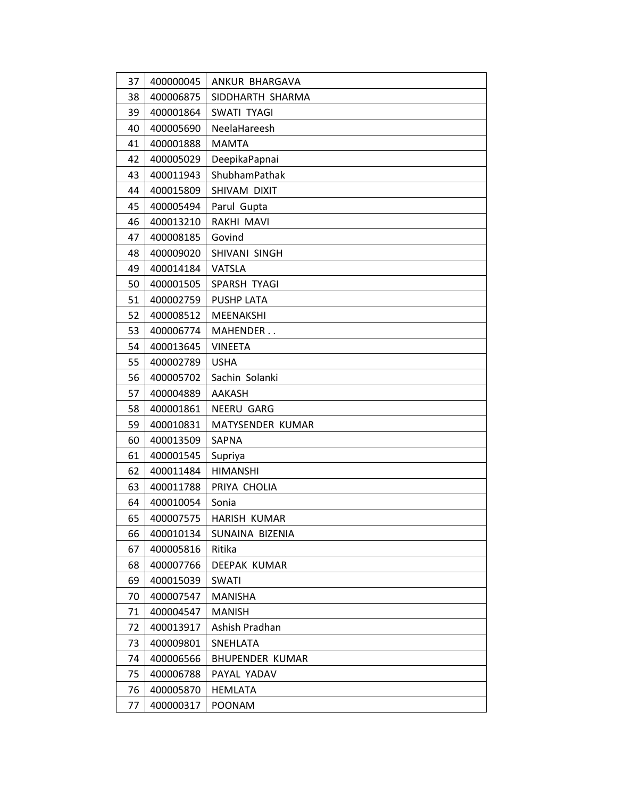| 37 | 400000045 | ANKUR BHARGAVA         |
|----|-----------|------------------------|
| 38 | 400006875 | SIDDHARTH SHARMA       |
| 39 | 400001864 | SWATI TYAGI            |
| 40 | 400005690 | NeelaHareesh           |
| 41 | 400001888 | <b>MAMTA</b>           |
| 42 | 400005029 | DeepikaPapnai          |
| 43 | 400011943 | ShubhamPathak          |
| 44 | 400015809 | SHIVAM DIXIT           |
| 45 | 400005494 | Parul Gupta            |
| 46 | 400013210 | RAKHI MAVI             |
| 47 | 400008185 | Govind                 |
| 48 | 400009020 | SHIVANI SINGH          |
| 49 | 400014184 | <b>VATSLA</b>          |
| 50 | 400001505 | SPARSH TYAGI           |
| 51 | 400002759 | <b>PUSHP LATA</b>      |
| 52 | 400008512 | MEENAKSHI              |
| 53 | 400006774 | MAHENDER               |
| 54 | 400013645 | <b>VINEETA</b>         |
| 55 | 400002789 | <b>USHA</b>            |
| 56 | 400005702 | Sachin Solanki         |
| 57 | 400004889 | <b>AAKASH</b>          |
| 58 | 400001861 | NEERU GARG             |
| 59 | 400010831 | MATYSENDER KUMAR       |
| 60 | 400013509 | <b>SAPNA</b>           |
| 61 | 400001545 | Supriya                |
| 62 | 400011484 | <b>HIMANSHI</b>        |
| 63 | 400011788 | PRIYA CHOLIA           |
| 64 | 400010054 | Sonia                  |
| 65 | 400007575 | HARISH KUMAR           |
| 66 | 400010134 | SUNAINA BIZENIA        |
| 67 | 400005816 | Ritika                 |
| 68 | 400007766 | DEEPAK KUMAR           |
| 69 | 400015039 | <b>SWATI</b>           |
| 70 | 400007547 | <b>MANISHA</b>         |
| 71 | 400004547 | <b>MANISH</b>          |
| 72 | 400013917 | Ashish Pradhan         |
| 73 | 400009801 | SNEHLATA               |
| 74 | 400006566 | <b>BHUPENDER KUMAR</b> |
| 75 | 400006788 | PAYAL YADAV            |
| 76 | 400005870 | <b>HEMLATA</b>         |
| 77 | 400000317 | <b>POONAM</b>          |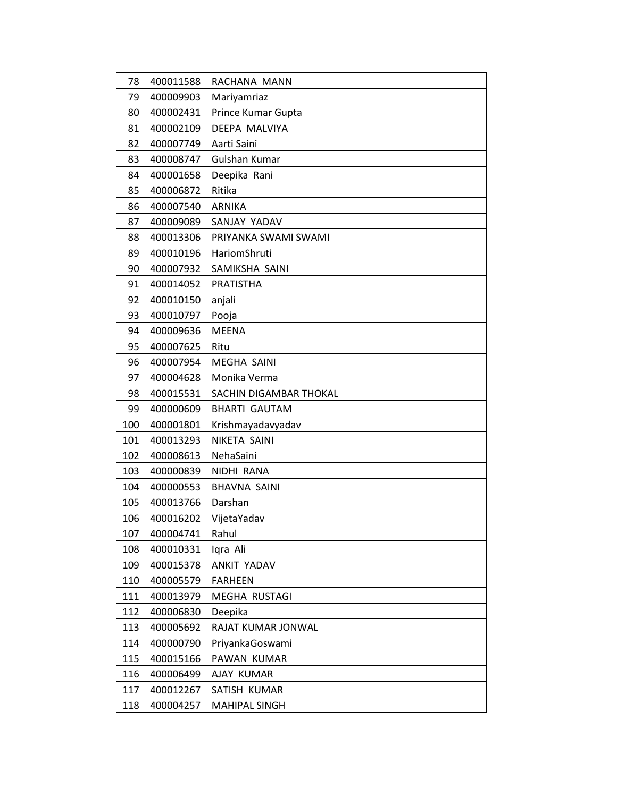| 78  | 400011588 | RACHANA MANN           |
|-----|-----------|------------------------|
| 79  | 400009903 | Mariyamriaz            |
| 80  | 400002431 | Prince Kumar Gupta     |
| 81  | 400002109 | DEEPA MALVIYA          |
| 82  | 400007749 | Aarti Saini            |
| 83  | 400008747 | Gulshan Kumar          |
| 84  | 400001658 | Deepika Rani           |
| 85  | 400006872 | Ritika                 |
| 86  | 400007540 | <b>ARNIKA</b>          |
| 87  | 400009089 | SANJAY YADAV           |
| 88  | 400013306 | PRIYANKA SWAMI SWAMI   |
| 89  | 400010196 | HariomShruti           |
| 90  | 400007932 | SAMIKSHA SAINI         |
| 91  | 400014052 | <b>PRATISTHA</b>       |
| 92  | 400010150 | anjali                 |
| 93  | 400010797 | Pooja                  |
| 94  | 400009636 | MEENA                  |
| 95  | 400007625 | Ritu                   |
| 96  | 400007954 | <b>MEGHA SAINI</b>     |
| 97  | 400004628 | Monika Verma           |
| 98  | 400015531 | SACHIN DIGAMBAR THOKAL |
| 99  | 400000609 | <b>BHARTI GAUTAM</b>   |
| 100 | 400001801 | Krishmayadavyadav      |
| 101 | 400013293 | NIKETA SAINI           |
| 102 | 400008613 | NehaSaini              |
| 103 | 400000839 | NIDHI RANA             |
| 104 | 400000553 | <b>BHAVNA SAINI</b>    |
| 105 | 400013766 | Darshan                |
| 106 | 400016202 | VijetaYadav            |
| 107 | 400004741 | Rahul                  |
| 108 | 400010331 | Igra Ali               |
| 109 | 400015378 | ANKIT YADAV            |
| 110 | 400005579 | <b>FARHEEN</b>         |
| 111 | 400013979 | MEGHA RUSTAGI          |
| 112 | 400006830 | Deepika                |
| 113 | 400005692 | RAJAT KUMAR JONWAL     |
| 114 | 400000790 | PriyankaGoswami        |
| 115 | 400015166 | PAWAN KUMAR            |
| 116 | 400006499 | AJAY KUMAR             |
| 117 | 400012267 | SATISH KUMAR           |
| 118 | 400004257 | MAHIPAL SINGH          |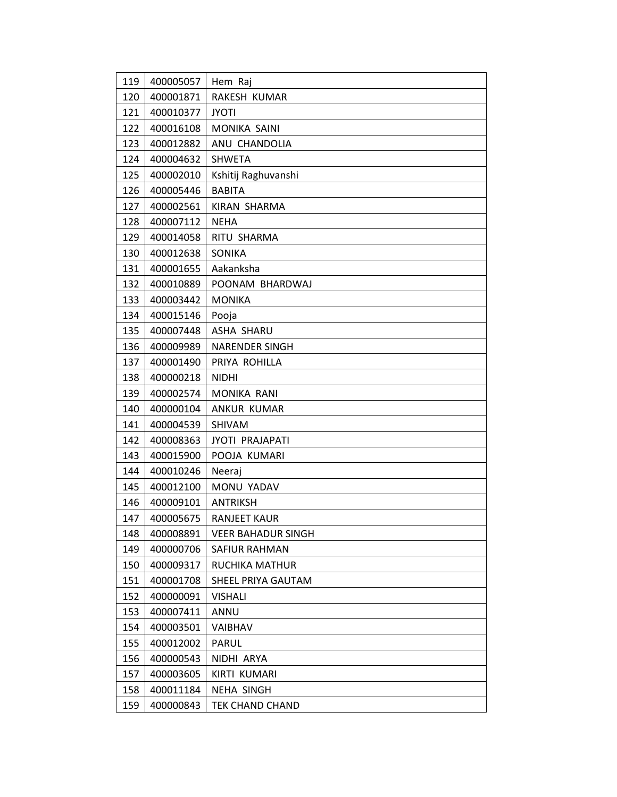| 119 | 400005057 | Hem Raj                   |
|-----|-----------|---------------------------|
| 120 | 400001871 | RAKESH KUMAR              |
| 121 | 400010377 | <b>JYOTI</b>              |
| 122 | 400016108 | <b>MONIKA SAINI</b>       |
| 123 | 400012882 | ANU CHANDOLIA             |
| 124 | 400004632 | <b>SHWETA</b>             |
| 125 | 400002010 | Kshitij Raghuvanshi       |
| 126 | 400005446 | <b>BABITA</b>             |
| 127 | 400002561 | KIRAN SHARMA              |
| 128 | 400007112 | <b>NEHA</b>               |
| 129 | 400014058 | RITU SHARMA               |
| 130 | 400012638 | SONIKA                    |
| 131 | 400001655 | Aakanksha                 |
| 132 | 400010889 | POONAM BHARDWAJ           |
| 133 | 400003442 | <b>MONIKA</b>             |
| 134 | 400015146 | Pooja                     |
| 135 | 400007448 | ASHA SHARU                |
| 136 | 400009989 | NARENDER SINGH            |
| 137 | 400001490 | PRIYA ROHILLA             |
| 138 | 400000218 | <b>NIDHI</b>              |
| 139 | 400002574 | MONIKA RANI               |
| 140 | 400000104 | ANKUR KUMAR               |
| 141 | 400004539 | <b>SHIVAM</b>             |
| 142 | 400008363 | <b>JYOTI PRAJAPATI</b>    |
| 143 | 400015900 | POOJA KUMARI              |
| 144 | 400010246 | Neeraj                    |
| 145 | 400012100 | MONU YADAV                |
| 146 | 400009101 | <b>ANTRIKSH</b>           |
| 147 | 400005675 | RANJEET KAUR              |
| 148 | 400008891 | <b>VEER BAHADUR SINGH</b> |
| 149 | 400000706 | SAFIUR RAHMAN             |
| 150 | 400009317 | <b>RUCHIKA MATHUR</b>     |
| 151 | 400001708 | SHEEL PRIYA GAUTAM        |
| 152 | 400000091 | <b>VISHALI</b>            |
| 153 | 400007411 | ANNU                      |
| 154 | 400003501 | VAIBHAV                   |
| 155 | 400012002 | PARUL                     |
| 156 | 400000543 | NIDHI ARYA                |
| 157 | 400003605 | KIRTI KUMARI              |
| 158 | 400011184 | <b>NEHA SINGH</b>         |
| 159 | 400000843 | <b>TEK CHAND CHAND</b>    |